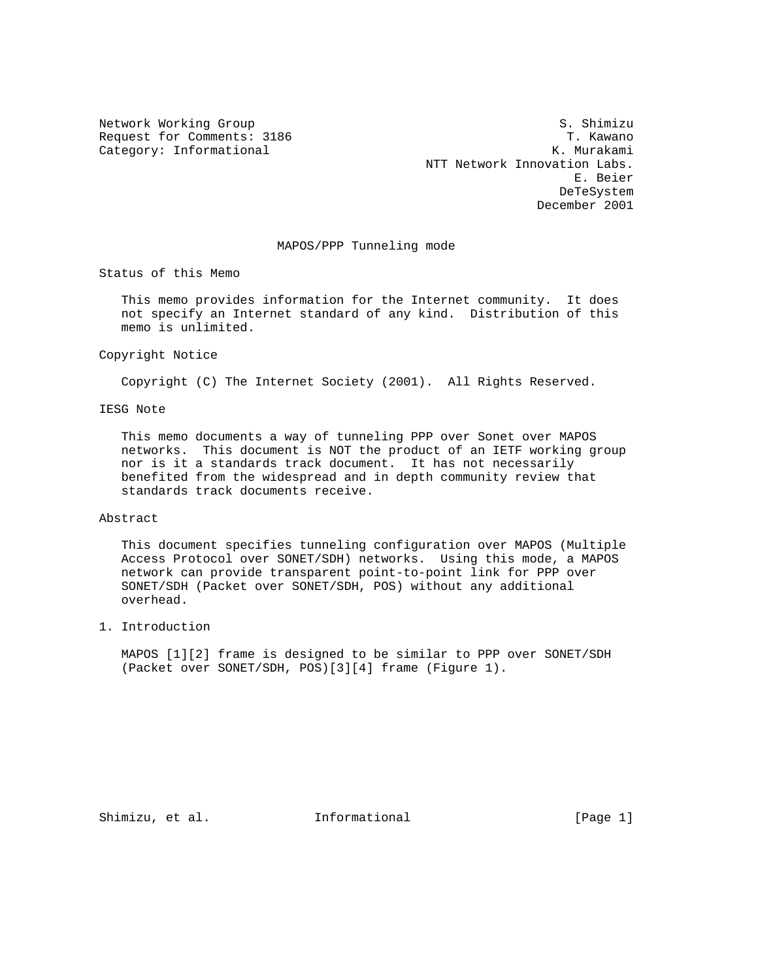Network Working Group S. Shimizu Request for Comments: 3186 T. Kawano Category: Informational and Category: Informational Category: The Category: The Category: The Category: The Category: The Category: The Category: The Category: The Category: The Category: The Category: The Category: The Ca NTT Network Innovation Labs. E. Beier DeTeSystem December 2001

# MAPOS/PPP Tunneling mode

Status of this Memo

 This memo provides information for the Internet community. It does not specify an Internet standard of any kind. Distribution of this memo is unlimited.

### Copyright Notice

Copyright (C) The Internet Society (2001). All Rights Reserved.

## IESG Note

 This memo documents a way of tunneling PPP over Sonet over MAPOS networks. This document is NOT the product of an IETF working group nor is it a standards track document. It has not necessarily benefited from the widespread and in depth community review that standards track documents receive.

### Abstract

 This document specifies tunneling configuration over MAPOS (Multiple Access Protocol over SONET/SDH) networks. Using this mode, a MAPOS network can provide transparent point-to-point link for PPP over SONET/SDH (Packet over SONET/SDH, POS) without any additional overhead.

## 1. Introduction

 MAPOS [1][2] frame is designed to be similar to PPP over SONET/SDH (Packet over SONET/SDH, POS)[3][4] frame (Figure 1).

Shimizu, et al. **Informational** [Page 1]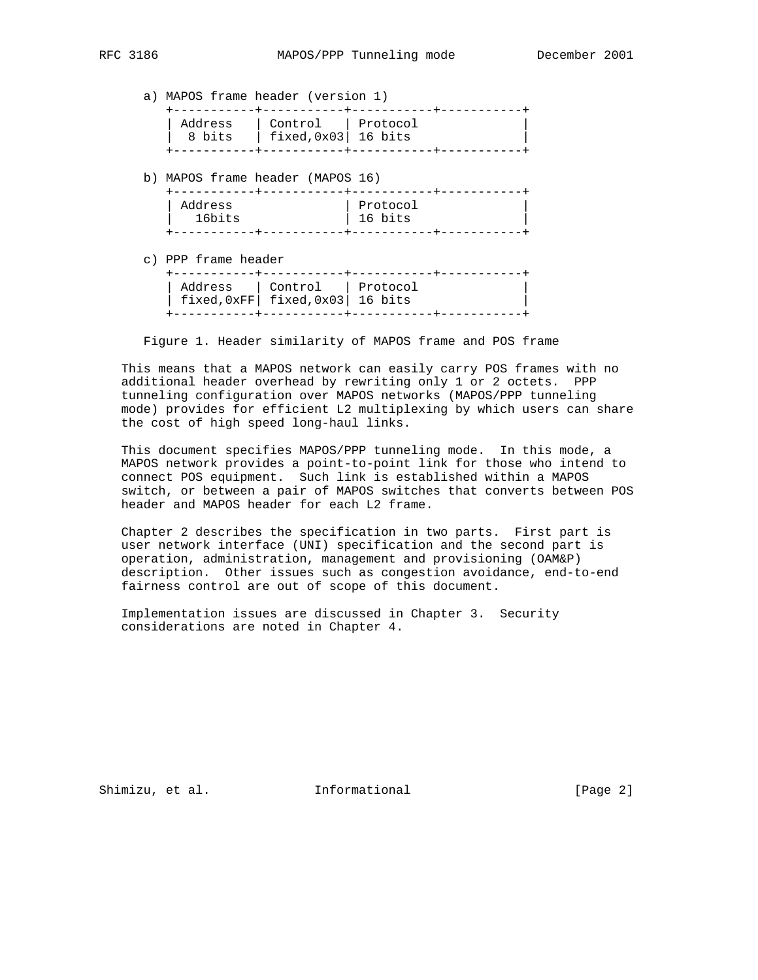a) MAPOS frame header (version 1)

| Address | Control   Protocol      |  |
|---------|-------------------------|--|
| 8 bits  | fixed, $0x03$   16 bits |  |
|         |                         |  |

b) MAPOS frame header (MAPOS 16)

| Address | Protocol |
|---------|----------|
| 16bits  | 16 bits  |
|         |          |

c) PPP frame header

|                                        | Address   Control   Protocol |  |
|----------------------------------------|------------------------------|--|
| $\int$ fixed, 0xFF fixed, 0x03 16 bits |                              |  |
|                                        |                              |  |

Figure 1. Header similarity of MAPOS frame and POS frame

 This means that a MAPOS network can easily carry POS frames with no additional header overhead by rewriting only 1 or 2 octets. PPP tunneling configuration over MAPOS networks (MAPOS/PPP tunneling mode) provides for efficient L2 multiplexing by which users can share the cost of high speed long-haul links.

 This document specifies MAPOS/PPP tunneling mode. In this mode, a MAPOS network provides a point-to-point link for those who intend to connect POS equipment. Such link is established within a MAPOS switch, or between a pair of MAPOS switches that converts between POS header and MAPOS header for each L2 frame.

 Chapter 2 describes the specification in two parts. First part is user network interface (UNI) specification and the second part is operation, administration, management and provisioning (OAM&P) description. Other issues such as congestion avoidance, end-to-end fairness control are out of scope of this document.

 Implementation issues are discussed in Chapter 3. Security considerations are noted in Chapter 4.

Shimizu, et al. **Informational** [Page 2]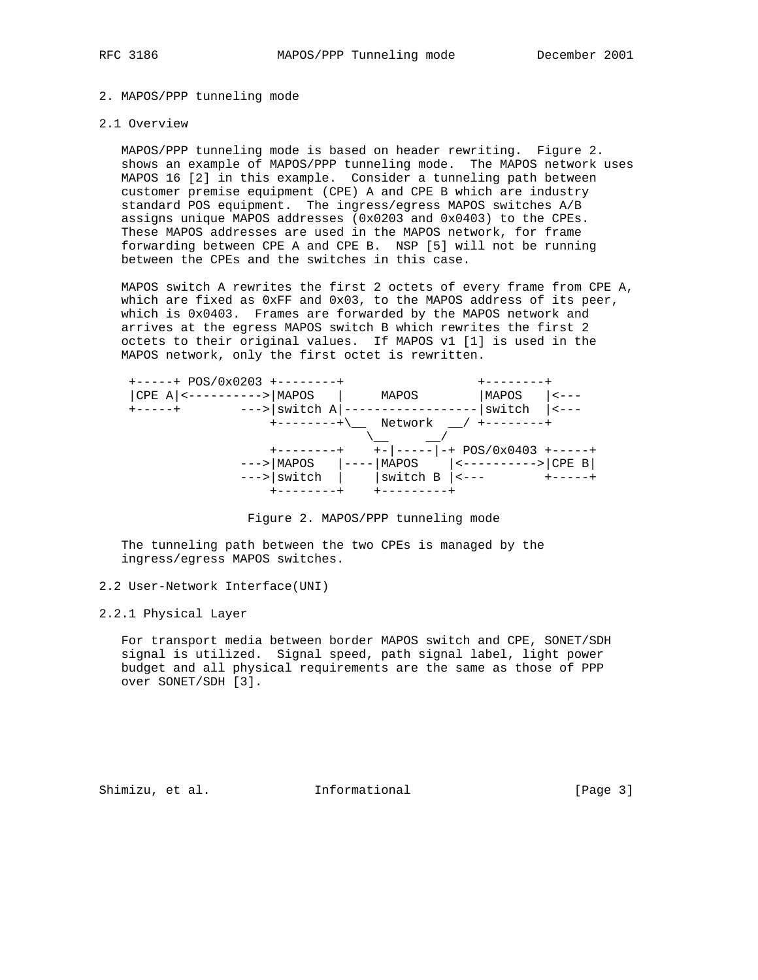# 2. MAPOS/PPP tunneling mode

# 2.1 Overview

 MAPOS/PPP tunneling mode is based on header rewriting. Figure 2. shows an example of MAPOS/PPP tunneling mode. The MAPOS network uses MAPOS 16 [2] in this example. Consider a tunneling path between customer premise equipment (CPE) A and CPE B which are industry standard POS equipment. The ingress/egress MAPOS switches A/B assigns unique MAPOS addresses (0x0203 and 0x0403) to the CPEs. These MAPOS addresses are used in the MAPOS network, for frame forwarding between CPE A and CPE B. NSP [5] will not be running between the CPEs and the switches in this case.

 MAPOS switch A rewrites the first 2 octets of every frame from CPE A, which are fixed as 0xFF and 0x03, to the MAPOS address of its peer, which is 0x0403. Frames are forwarded by the MAPOS network and arrives at the egress MAPOS switch B which rewrites the first 2 octets to their original values. If MAPOS v1 [1] is used in the MAPOS network, only the first octet is rewritten.



Figure 2. MAPOS/PPP tunneling mode

 The tunneling path between the two CPEs is managed by the ingress/egress MAPOS switches.

2.2 User-Network Interface(UNI)

2.2.1 Physical Layer

 For transport media between border MAPOS switch and CPE, SONET/SDH signal is utilized. Signal speed, path signal label, light power budget and all physical requirements are the same as those of PPP over SONET/SDH [3].

Shimizu, et al. **Informational** [Page 3]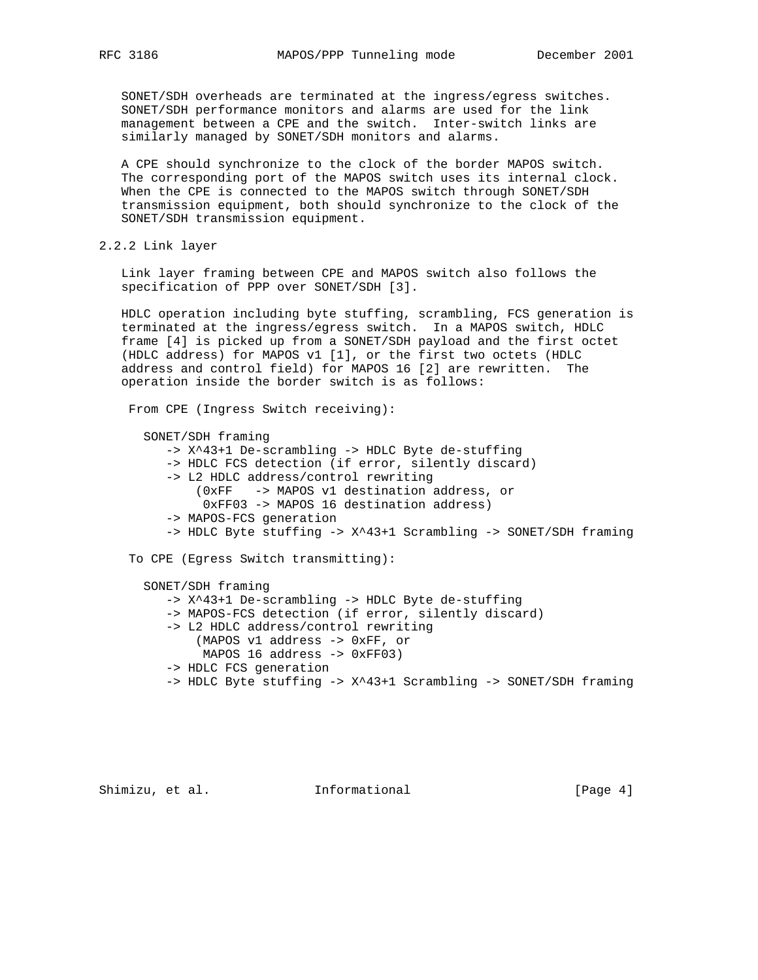SONET/SDH overheads are terminated at the ingress/egress switches. SONET/SDH performance monitors and alarms are used for the link management between a CPE and the switch. Inter-switch links are similarly managed by SONET/SDH monitors and alarms.

 A CPE should synchronize to the clock of the border MAPOS switch. The corresponding port of the MAPOS switch uses its internal clock. When the CPE is connected to the MAPOS switch through SONET/SDH transmission equipment, both should synchronize to the clock of the SONET/SDH transmission equipment.

2.2.2 Link layer

 Link layer framing between CPE and MAPOS switch also follows the specification of PPP over SONET/SDH [3].

 HDLC operation including byte stuffing, scrambling, FCS generation is terminated at the ingress/egress switch. In a MAPOS switch, HDLC frame [4] is picked up from a SONET/SDH payload and the first octet (HDLC address) for MAPOS v1 [1], or the first two octets (HDLC address and control field) for MAPOS 16 [2] are rewritten. The operation inside the border switch is as follows:

From CPE (Ingress Switch receiving):

 SONET/SDH framing -> X^43+1 De-scrambling -> HDLC Byte de-stuffing -> HDLC FCS detection (if error, silently discard) -> L2 HDLC address/control rewriting (0xFF -> MAPOS v1 destination address, or 0xFF03 -> MAPOS 16 destination address) -> MAPOS-FCS generation -> HDLC Byte stuffing -> X^43+1 Scrambling -> SONET/SDH framing To CPE (Egress Switch transmitting): SONET/SDH framing

 -> X^43+1 De-scrambling -> HDLC Byte de-stuffing -> MAPOS-FCS detection (if error, silently discard) -> L2 HDLC address/control rewriting (MAPOS v1 address -> 0xFF, or MAPOS 16 address -> 0xFF03) -> HDLC FCS generation -> HDLC Byte stuffing -> X^43+1 Scrambling -> SONET/SDH framing

Shimizu, et al. 1nformational 1999 [Page 4]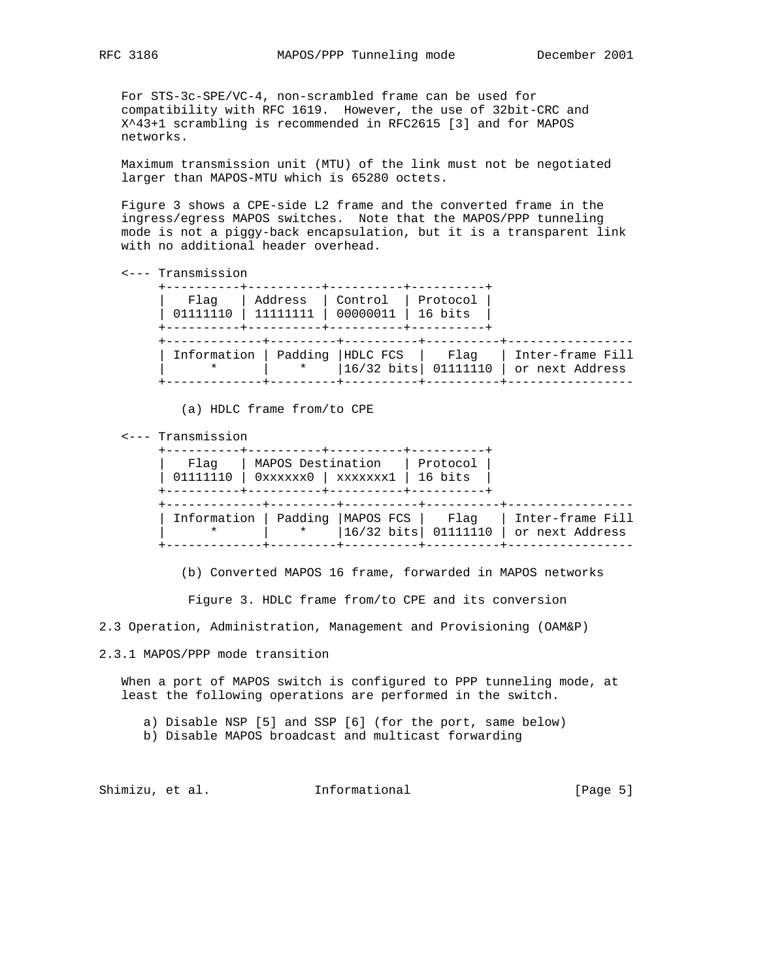For STS-3c-SPE/VC-4, non-scrambled frame can be used for compatibility with RFC 1619. However, the use of 32bit-CRC and X^43+1 scrambling is recommended in RFC2615 [3] and for MAPOS networks.

 Maximum transmission unit (MTU) of the link must not be negotiated larger than MAPOS-MTU which is 65280 octets.

 Figure 3 shows a CPE-side L2 frame and the converted frame in the ingress/egress MAPOS switches. Note that the MAPOS/PPP tunneling mode is not a piggy-back encapsulation, but it is a transparent link with no additional header overhead.

```
 <--- Transmission
```

| Flaq<br>01111110 | Address | Control<br>00000011                        | Protocol<br>16 bits |                                     |
|------------------|---------|--------------------------------------------|---------------------|-------------------------------------|
| Information      | $\star$ | Padding  HDLC FCS<br> 16/32 bits  01111110 | Flaq                | Inter-frame Fill<br>or next Address |

(a) HDLC frame from/to CPE

<--- Transmission

| Flaq<br>01111110 | MAPOS Destination<br>$0xxxxxx0$   $xxxxxxx1$   16 bits<br>----------+---------- |                                 | Protocol |                                     |
|------------------|---------------------------------------------------------------------------------|---------------------------------|----------|-------------------------------------|
|                  | Information   Padding   MAPOS FCS  <br>$\ast$                                   | $ 16/32 \text{ bits}  01111110$ | Flaq     | Inter-frame Fill<br>or next Address |

(b) Converted MAPOS 16 frame, forwarded in MAPOS networks

Figure 3. HDLC frame from/to CPE and its conversion

2.3 Operation, Administration, Management and Provisioning (OAM&P)

2.3.1 MAPOS/PPP mode transition

 When a port of MAPOS switch is configured to PPP tunneling mode, at least the following operations are performed in the switch.

a) Disable NSP [5] and SSP [6] (for the port, same below)

b) Disable MAPOS broadcast and multicast forwarding

Shimizu, et al. 1nformational 1999 [Page 5]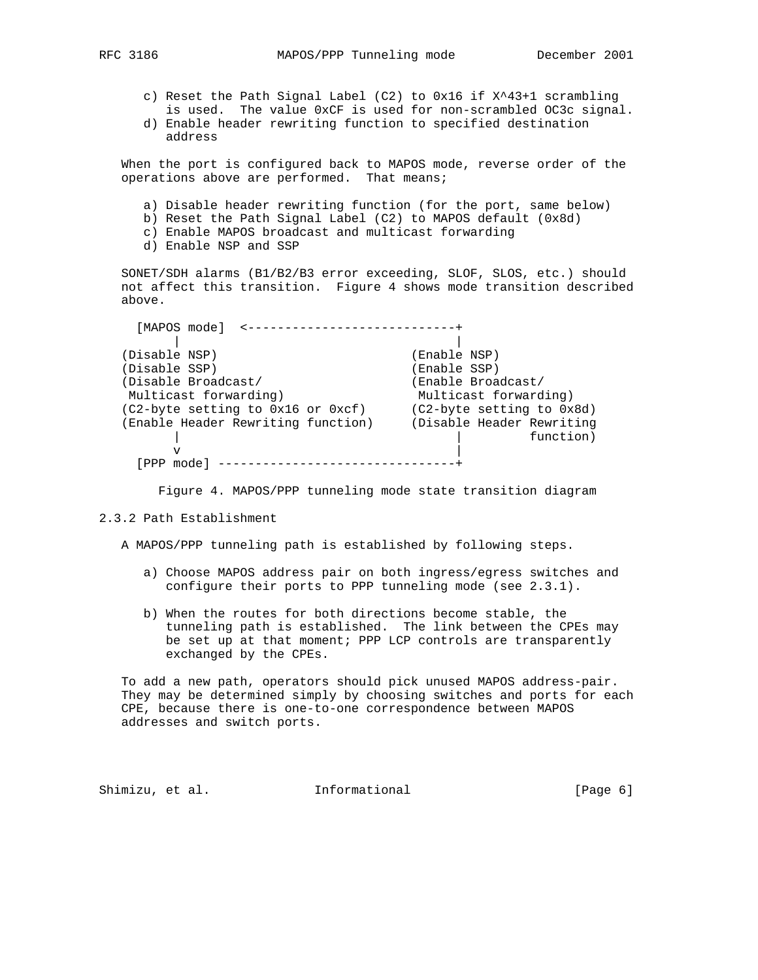- c) Reset the Path Signal Label (C2) to 0x16 if X^43+1 scrambling is used. The value 0xCF is used for non-scrambled OC3c signal.
- d) Enable header rewriting function to specified destination address

 When the port is configured back to MAPOS mode, reverse order of the operations above are performed. That means;

- a) Disable header rewriting function (for the port, same below)
- b) Reset the Path Signal Label (C2) to MAPOS default (0x8d)
- c) Enable MAPOS broadcast and multicast forwarding
- d) Enable NSP and SSP

 SONET/SDH alarms (B1/B2/B3 error exceeding, SLOF, SLOS, etc.) should not affect this transition. Figure 4 shows mode transition described above.

| [MAPOS mode]                       |                           |
|------------------------------------|---------------------------|
|                                    |                           |
| (Disable NSP)                      | (Enable NSP)              |
| (Disable SSP)                      | (Enable SSP)              |
| (Disable Broadcast/                | (Enable Broadcast/        |
| Multicast forwarding)              | Multicast forwarding)     |
| (C2-byte setting to 0x16 or 0xcf)  | (C2-byte setting to 0x8d) |
| (Enable Header Rewriting function) | (Disable Header Rewriting |
|                                    | function)                 |
|                                    |                           |
|                                    |                           |

Figure 4. MAPOS/PPP tunneling mode state transition diagram

#### 2.3.2 Path Establishment

A MAPOS/PPP tunneling path is established by following steps.

- a) Choose MAPOS address pair on both ingress/egress switches and configure their ports to PPP tunneling mode (see 2.3.1).
- b) When the routes for both directions become stable, the tunneling path is established. The link between the CPEs may be set up at that moment; PPP LCP controls are transparently exchanged by the CPEs.

 To add a new path, operators should pick unused MAPOS address-pair. They may be determined simply by choosing switches and ports for each CPE, because there is one-to-one correspondence between MAPOS addresses and switch ports.

Shimizu, et al. **Informational** [Page 6]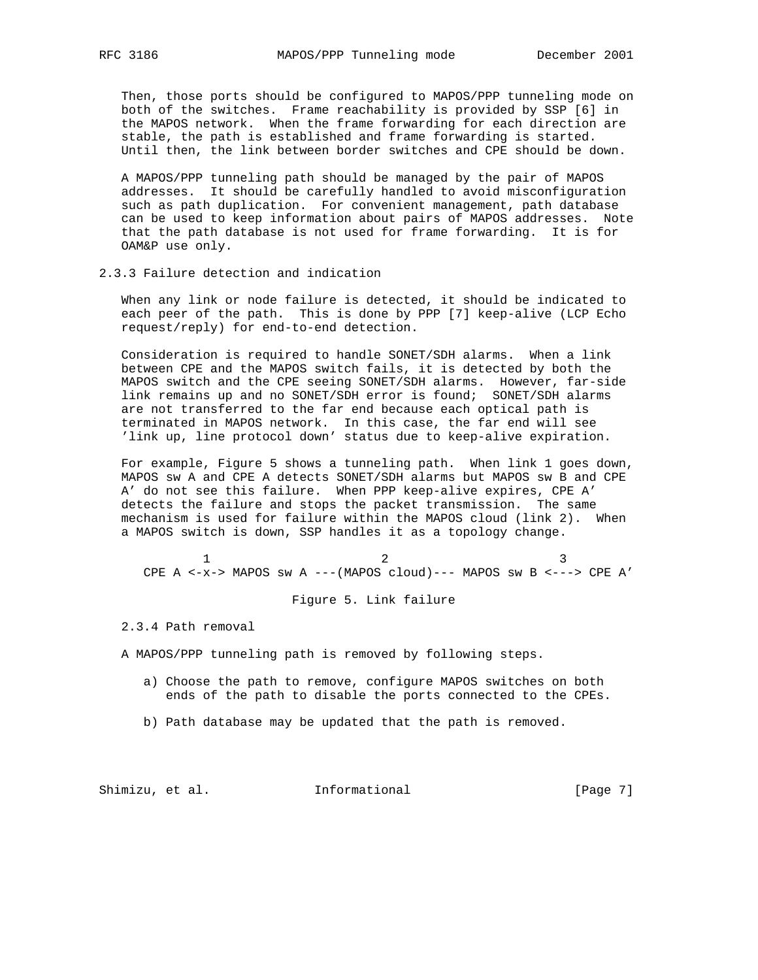Then, those ports should be configured to MAPOS/PPP tunneling mode on both of the switches. Frame reachability is provided by SSP [6] in the MAPOS network. When the frame forwarding for each direction are stable, the path is established and frame forwarding is started. Until then, the link between border switches and CPE should be down.

 A MAPOS/PPP tunneling path should be managed by the pair of MAPOS addresses. It should be carefully handled to avoid misconfiguration such as path duplication. For convenient management, path database can be used to keep information about pairs of MAPOS addresses. Note that the path database is not used for frame forwarding. It is for OAM&P use only.

2.3.3 Failure detection and indication

 When any link or node failure is detected, it should be indicated to each peer of the path. This is done by PPP [7] keep-alive (LCP Echo request/reply) for end-to-end detection.

 Consideration is required to handle SONET/SDH alarms. When a link between CPE and the MAPOS switch fails, it is detected by both the MAPOS switch and the CPE seeing SONET/SDH alarms. However, far-side link remains up and no SONET/SDH error is found; SONET/SDH alarms are not transferred to the far end because each optical path is terminated in MAPOS network. In this case, the far end will see 'link up, line protocol down' status due to keep-alive expiration.

 For example, Figure 5 shows a tunneling path. When link 1 goes down, MAPOS sw A and CPE A detects SONET/SDH alarms but MAPOS sw B and CPE A' do not see this failure. When PPP keep-alive expires, CPE A' detects the failure and stops the packet transmission. The same mechanism is used for failure within the MAPOS cloud (link 2). When a MAPOS switch is down, SSP handles it as a topology change.

 $1$  2 3 CPE A  $\leftarrow$  x-> MAPOS sw A ---(MAPOS cloud)--- MAPOS sw B  $\leftarrow$ ---> CPE A'

Figure 5. Link failure

2.3.4 Path removal

A MAPOS/PPP tunneling path is removed by following steps.

- a) Choose the path to remove, configure MAPOS switches on both ends of the path to disable the ports connected to the CPEs.
- b) Path database may be updated that the path is removed.

Shimizu, et al. 1nformational 1999 [Page 7]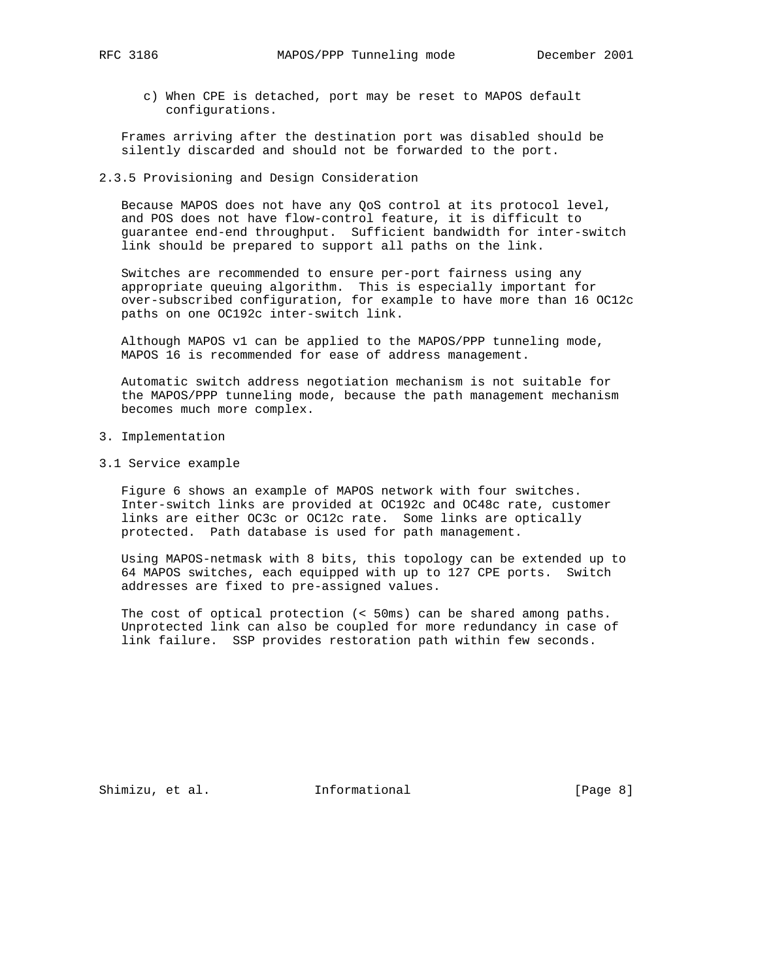c) When CPE is detached, port may be reset to MAPOS default configurations.

 Frames arriving after the destination port was disabled should be silently discarded and should not be forwarded to the port.

## 2.3.5 Provisioning and Design Consideration

 Because MAPOS does not have any QoS control at its protocol level, and POS does not have flow-control feature, it is difficult to guarantee end-end throughput. Sufficient bandwidth for inter-switch link should be prepared to support all paths on the link.

 Switches are recommended to ensure per-port fairness using any appropriate queuing algorithm. This is especially important for over-subscribed configuration, for example to have more than 16 OC12c paths on one OC192c inter-switch link.

 Although MAPOS v1 can be applied to the MAPOS/PPP tunneling mode, MAPOS 16 is recommended for ease of address management.

 Automatic switch address negotiation mechanism is not suitable for the MAPOS/PPP tunneling mode, because the path management mechanism becomes much more complex.

- 3. Implementation
- 3.1 Service example

 Figure 6 shows an example of MAPOS network with four switches. Inter-switch links are provided at OC192c and OC48c rate, customer links are either OC3c or OC12c rate. Some links are optically protected. Path database is used for path management.

 Using MAPOS-netmask with 8 bits, this topology can be extended up to 64 MAPOS switches, each equipped with up to 127 CPE ports. Switch addresses are fixed to pre-assigned values.

 The cost of optical protection (< 50ms) can be shared among paths. Unprotected link can also be coupled for more redundancy in case of link failure. SSP provides restoration path within few seconds.

Shimizu, et al. **Informational** [Page 8]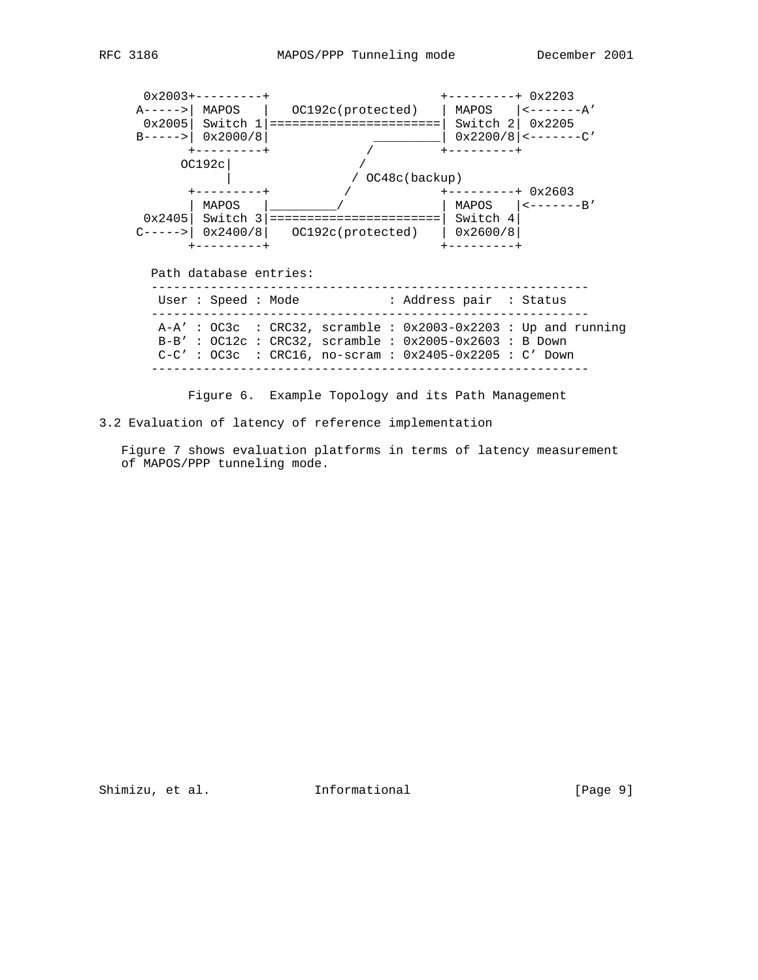

Figure 6. Example Topology and its Path Management

3.2 Evaluation of latency of reference implementation

 Figure 7 shows evaluation platforms in terms of latency measurement of MAPOS/PPP tunneling mode.

Shimizu, et al. 1nformational 1999 [Page 9]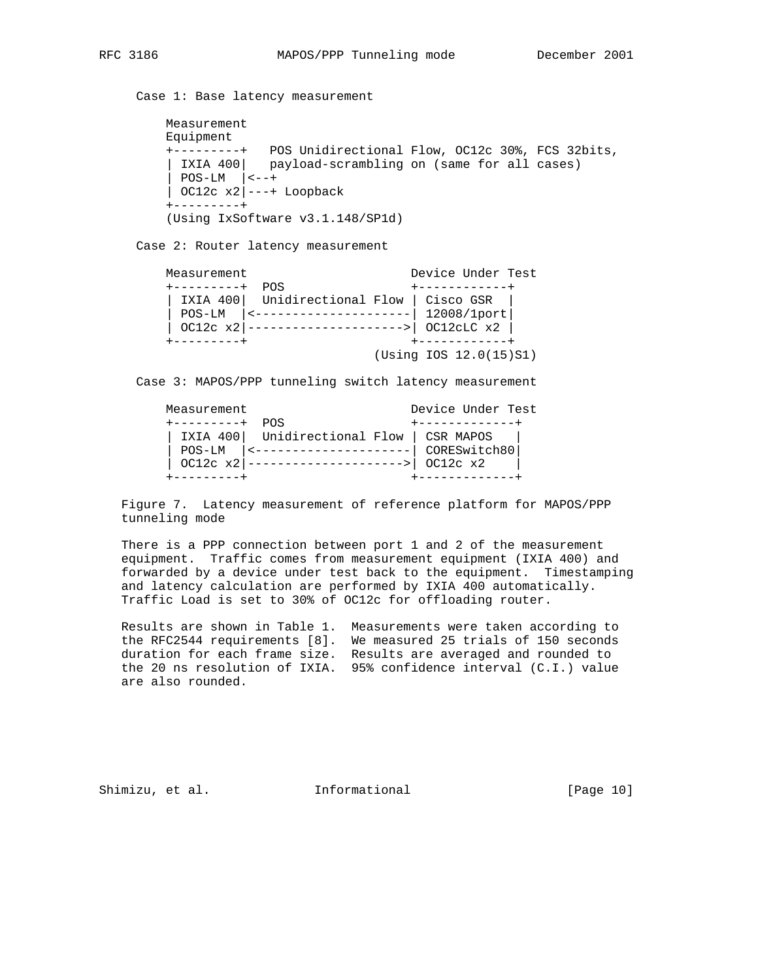Case 1: Base latency measurement

```
 Measurement
 Equipment
 +---------+ POS Unidirectional Flow, OC12c 30%, FCS 32bits,
| IXIA 400| payload-scrambling on (same for all cases)
\left| POS-LM \left| \left| \leftarrow \right|\vert OC12c x2\vert---+ Loopback
 +---------+
 (Using IxSoftware v3.1.148/SP1d)
```
Case 2: Router latency measurement

| Measurement      |                                          | Device Under Test    |
|------------------|------------------------------------------|----------------------|
| ---------+       | POS.                                     |                      |
|                  | IXIA 400 Unidirectional Flow   Cisco GSR |                      |
| $POS-LM$         |                                          | 12008/1port          |
| $ OC12c x2 $ --- | . <u>.</u>                               | OCI2CLC x2           |
| ---------+       |                                          | -----------          |
|                  |                                          | $(Using 12.0(15)SI)$ |

Case 3: MAPOS/PPP tunneling switch latency measurement

| Measurement           |                                          | Device Under Test |
|-----------------------|------------------------------------------|-------------------|
| $+ - - - - - - - - +$ | <b>DOS</b>                               |                   |
|                       | IXIA 400 Unidirectional Flow   CSR MAPOS |                   |
| POS-LM                | ------------------                       | CORESwitch80      |
|                       | $OCI2c x2$ -----------------------       | OC12c x2          |
|                       |                                          |                   |

 Figure 7. Latency measurement of reference platform for MAPOS/PPP tunneling mode

 There is a PPP connection between port 1 and 2 of the measurement equipment. Traffic comes from measurement equipment (IXIA 400) and forwarded by a device under test back to the equipment. Timestamping and latency calculation are performed by IXIA 400 automatically. Traffic Load is set to 30% of OC12c for offloading router.

 Results are shown in Table 1. Measurements were taken according to the RFC2544 requirements [8]. We measured 25 trials of 150 seconds duration for each frame size. Results are averaged and rounded to the 20 ns resolution of IXIA. 95% confidence interval (C.I.) value are also rounded.

Shimizu, et al. **Informational** [Page 10]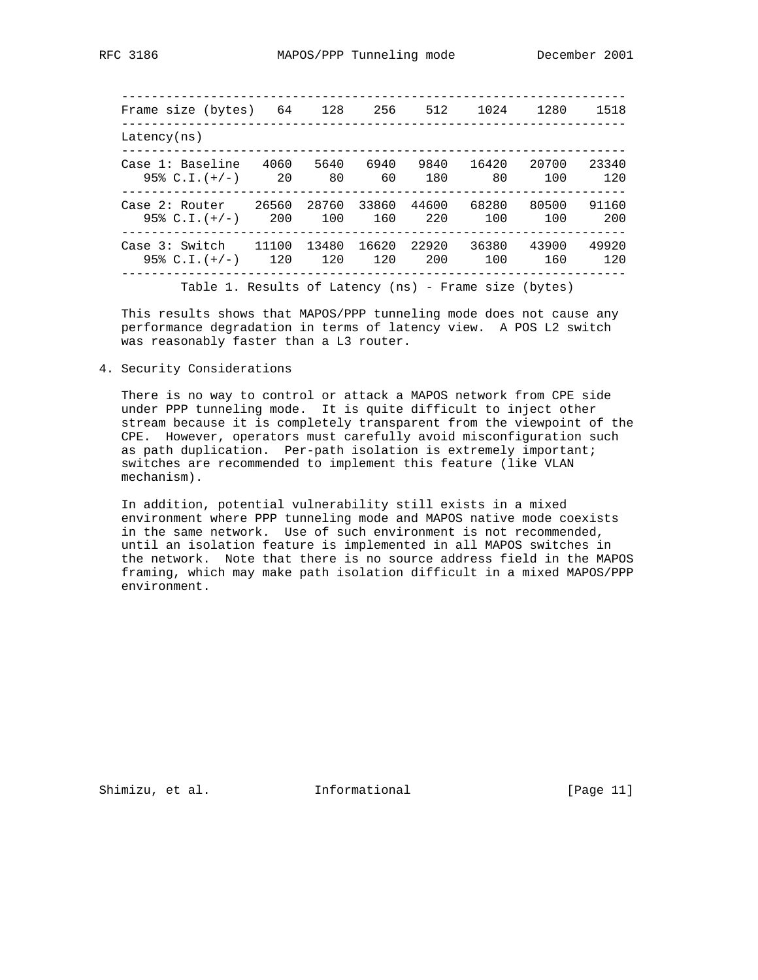-------------------------------------------------------------------- Frame size (bytes) 64 128 256 512 1024 1280 1518 -------------------------------------------------------------------- Latency(ns) -------------------------------------------------------------------- Case 1: Baseline 4060 5640 6940 9840 16420 20700 23340 95% C.I.(+/-) 20 80 60 180 80 100 120 -------------------------------------------------------------------- Case 2: Router 26560 28760 33860 44600 68280 80500 91160 95% C.I.(+/-) 200 100 160 220 100 100 200 -------------------------------------------------------------------- Case 3: Switch 11100 13480 16620 22920 36380 43900 49920 95% C.I.(+/-) 120 120 120 200 100 160 120 -------------------------------------------------------------------- Table 1. Results of Latency (ns) - Frame size (bytes)

This results shows that MAPOS/PPP tunneling mode does not cause any

 performance degradation in terms of latency view. A POS L2 switch was reasonably faster than a L3 router.

4. Security Considerations

 There is no way to control or attack a MAPOS network from CPE side under PPP tunneling mode. It is quite difficult to inject other stream because it is completely transparent from the viewpoint of the CPE. However, operators must carefully avoid misconfiguration such as path duplication. Per-path isolation is extremely important; switches are recommended to implement this feature (like VLAN mechanism).

 In addition, potential vulnerability still exists in a mixed environment where PPP tunneling mode and MAPOS native mode coexists in the same network. Use of such environment is not recommended, until an isolation feature is implemented in all MAPOS switches in the network. Note that there is no source address field in the MAPOS framing, which may make path isolation difficult in a mixed MAPOS/PPP environment.

Shimizu, et al. 1nformational [Page 11]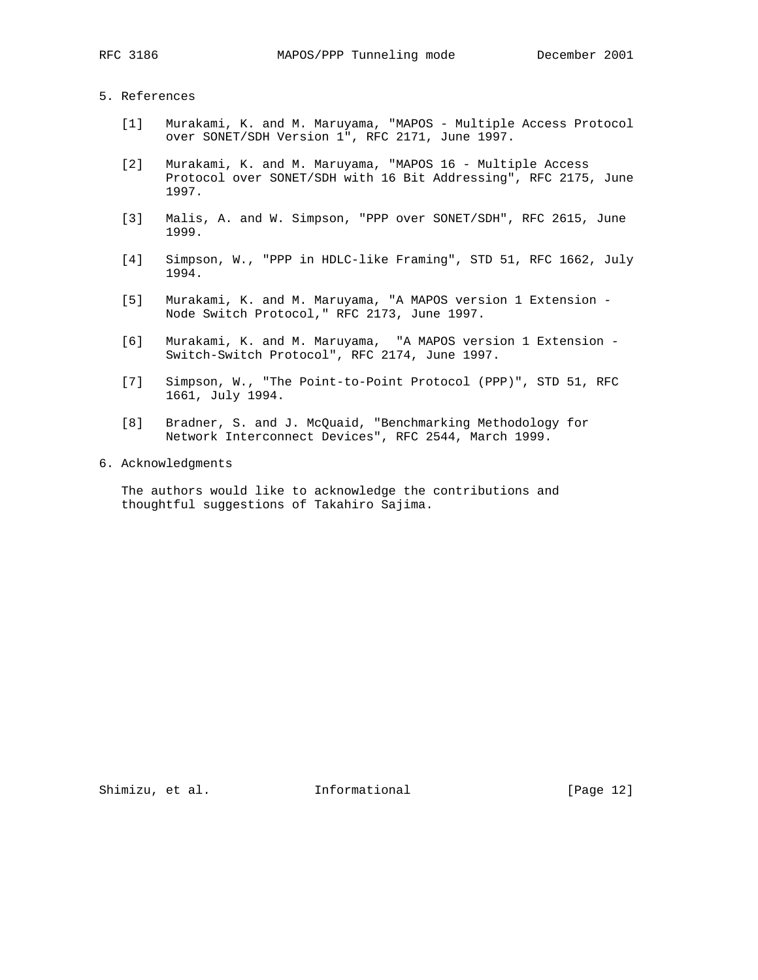# 5. References

- [1] Murakami, K. and M. Maruyama, "MAPOS Multiple Access Protocol over SONET/SDH Version 1", RFC 2171, June 1997.
- [2] Murakami, K. and M. Maruyama, "MAPOS 16 Multiple Access Protocol over SONET/SDH with 16 Bit Addressing", RFC 2175, June 1997.
- [3] Malis, A. and W. Simpson, "PPP over SONET/SDH", RFC 2615, June 1999.
- [4] Simpson, W., "PPP in HDLC-like Framing", STD 51, RFC 1662, July 1994.
- [5] Murakami, K. and M. Maruyama, "A MAPOS version 1 Extension Node Switch Protocol," RFC 2173, June 1997.
- [6] Murakami, K. and M. Maruyama, "A MAPOS version 1 Extension Switch-Switch Protocol", RFC 2174, June 1997.
- [7] Simpson, W., "The Point-to-Point Protocol (PPP)", STD 51, RFC 1661, July 1994.
- [8] Bradner, S. and J. McQuaid, "Benchmarking Methodology for Network Interconnect Devices", RFC 2544, March 1999.
- 6. Acknowledgments

 The authors would like to acknowledge the contributions and thoughtful suggestions of Takahiro Sajima.

Shimizu, et al. 1nformational [Page 12]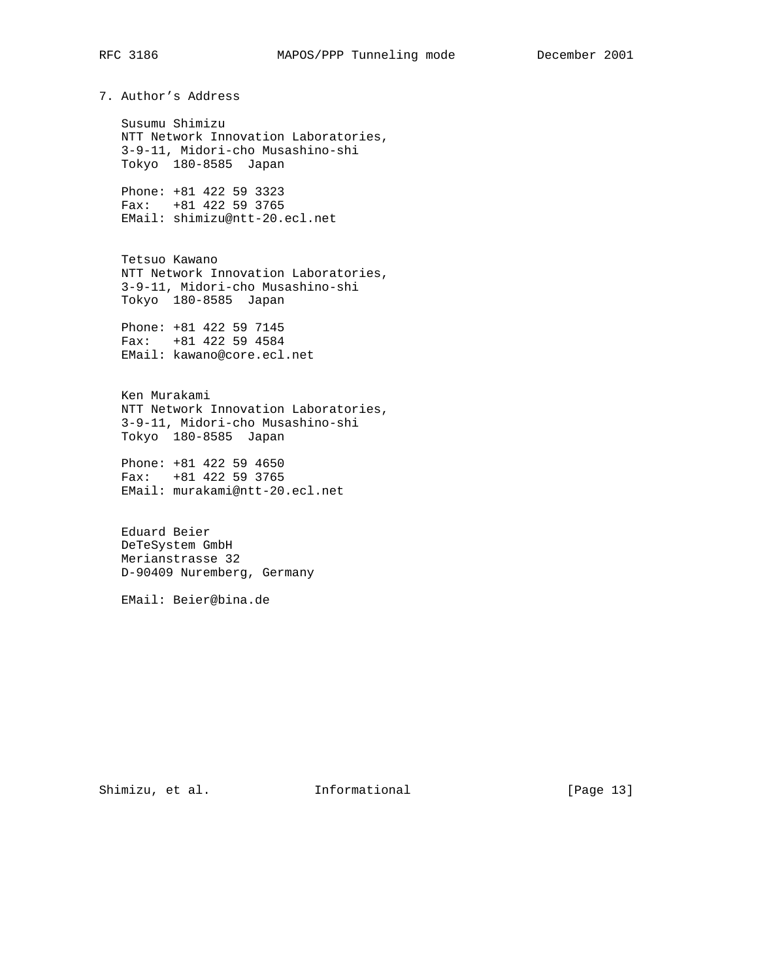# 7. Author's Address

 Susumu Shimizu NTT Network Innovation Laboratories, 3-9-11, Midori-cho Musashino-shi Tokyo 180-8585 Japan

 Phone: +81 422 59 3323 Fax: +81 422 59 3765 EMail: shimizu@ntt-20.ecl.net

 Tetsuo Kawano NTT Network Innovation Laboratories, 3-9-11, Midori-cho Musashino-shi Tokyo 180-8585 Japan

 Phone: +81 422 59 7145 Fax: +81 422 59 4584 EMail: kawano@core.ecl.net

 Ken Murakami NTT Network Innovation Laboratories, 3-9-11, Midori-cho Musashino-shi Tokyo 180-8585 Japan

 Phone: +81 422 59 4650 Fax: +81 422 59 3765 EMail: murakami@ntt-20.ecl.net

 Eduard Beier DeTeSystem GmbH Merianstrasse 32 D-90409 Nuremberg, Germany

EMail: Beier@bina.de

Shimizu, et al. 1nformational [Page 13]